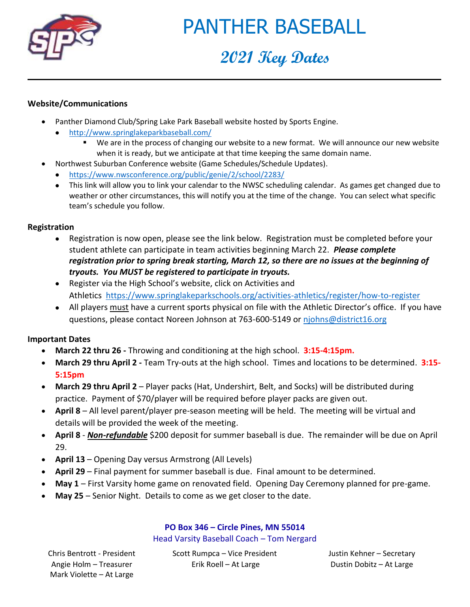

# PANTHER BASEBALL

# **2021 Key Dates**

### **Website/Communications**

- Panther Diamond Club/Spring Lake Park Baseball website hosted by Sports Engine.
	- <http://www.springlakeparkbaseball.com/>
		- We are in the process of changing our website to a new format. We will announce our new website when it is ready, but we anticipate at that time keeping the same domain name.
- Northwest Suburban Conference website (Game Schedules/Schedule Updates).
	- <https://www.nwsconference.org/public/genie/2/school/2283/>
	- This link will allow you to link your calendar to the NWSC scheduling calendar. As games get changed due to weather or other circumstances, this will notify you at the time of the change. You can select what specific team's schedule you follow.

### **Registration**

- Registration is now open, please see the link below. Registration must be completed before your student athlete can participate in team activities beginning March 22. *Please complete registration prior to spring break starting, March 12, so there are no issues at the beginning of tryouts. You MUST be registered to participate in tryouts.*
- Register via the High School's website, click on Activities and Athletics <https://www.springlakeparkschools.org/activities-athletics/register/how-to-register>
- All players must have a current sports physical on file with the Athletic Director's office. If you have questions, please contact Noreen Johnson at 763-600-5149 or [njohns@district16.org](mailto:njohns@district16.org)

## **Important Dates**

- **March 22 thru 26 -** Throwing and conditioning at the high school. **3:15-4:15pm.**
- **March 29 thru April 2 -** Team Try-outs at the high school. Times and locations to be determined. **3:15- 5:15pm**
- **March 29 thru April 2** Player packs (Hat, Undershirt, Belt, and Socks) will be distributed during practice. Payment of \$70/player will be required before player packs are given out.
- **April 8** All level parent/player pre-season meeting will be held. The meeting will be virtual and details will be provided the week of the meeting.
- **April 8** *Non-refundable* \$200 deposit for summer baseball is due. The remainder will be due on April 29.
- **April 13**  Opening Day versus Armstrong (All Levels)
- **April 29** Final payment for summer baseball is due. Final amount to be determined.
- **May 1**  First Varsity home game on renovated field. Opening Day Ceremony planned for pre-game.
- **May 25**  Senior Night. Details to come as we get closer to the date.

**PO Box 346 – Circle Pines, MN 55014** Head Varsity Baseball Coach – Tom Nergard

Angie Holm – Treasurer Mark Violette – At Large

Chris Bentrott - President Scott Rumpca – Vice President Justin Kehner – Secretary Erik Roell – At Large **Dustin Dobitz – At Large**